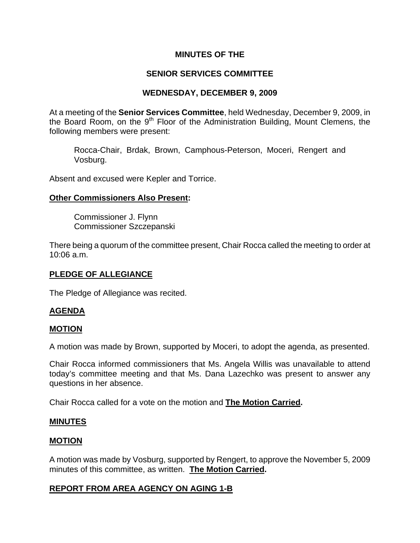### **MINUTES OF THE**

# **SENIOR SERVICES COMMITTEE**

## **WEDNESDAY, DECEMBER 9, 2009**

At a meeting of the **Senior Services Committee**, held Wednesday, December 9, 2009, in the Board Room, on the 9<sup>th</sup> Floor of the Administration Building, Mount Clemens, the following members were present:

Rocca-Chair, Brdak, Brown, Camphous-Peterson, Moceri, Rengert and Vosburg.

Absent and excused were Kepler and Torrice.

#### **Other Commissioners Also Present:**

Commissioner J. Flynn Commissioner Szczepanski

There being a quorum of the committee present, Chair Rocca called the meeting to order at 10:06 a.m.

### **PLEDGE OF ALLEGIANCE**

The Pledge of Allegiance was recited.

### **AGENDA**

#### **MOTION**

A motion was made by Brown, supported by Moceri, to adopt the agenda, as presented.

Chair Rocca informed commissioners that Ms. Angela Willis was unavailable to attend today's committee meeting and that Ms. Dana Lazechko was present to answer any questions in her absence.

Chair Rocca called for a vote on the motion and **The Motion Carried.** 

### **MINUTES**

#### **MOTION**

A motion was made by Vosburg, supported by Rengert, to approve the November 5, 2009 minutes of this committee, as written. **The Motion Carried.** 

### **REPORT FROM AREA AGENCY ON AGING 1-B**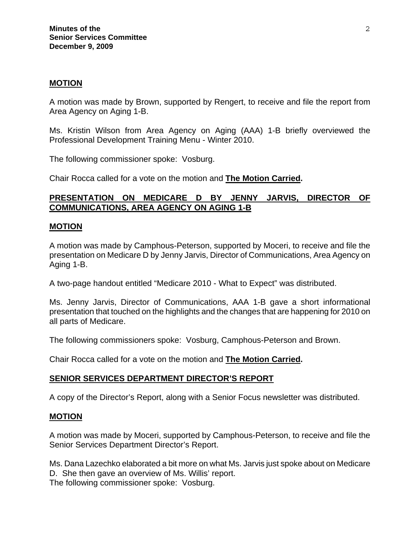#### **MOTION**

A motion was made by Brown, supported by Rengert, to receive and file the report from Area Agency on Aging 1-B.

Ms. Kristin Wilson from Area Agency on Aging (AAA) 1-B briefly overviewed the Professional Development Training Menu - Winter 2010.

The following commissioner spoke: Vosburg.

Chair Rocca called for a vote on the motion and **The Motion Carried.** 

### **PRESENTATION ON MEDICARE D BY JENNY JARVIS, DIRECTOR OF COMMUNICATIONS, AREA AGENCY ON AGING 1-B**

#### **MOTION**

A motion was made by Camphous-Peterson, supported by Moceri, to receive and file the presentation on Medicare D by Jenny Jarvis, Director of Communications, Area Agency on Aging 1-B.

A two-page handout entitled "Medicare 2010 - What to Expect" was distributed.

Ms. Jenny Jarvis, Director of Communications, AAA 1-B gave a short informational presentation that touched on the highlights and the changes that are happening for 2010 on all parts of Medicare.

The following commissioners spoke: Vosburg, Camphous-Peterson and Brown.

Chair Rocca called for a vote on the motion and **The Motion Carried.** 

#### **SENIOR SERVICES DEPARTMENT DIRECTOR'S REPORT**

A copy of the Director's Report, along with a Senior Focus newsletter was distributed.

#### **MOTION**

A motion was made by Moceri, supported by Camphous-Peterson, to receive and file the Senior Services Department Director's Report.

Ms. Dana Lazechko elaborated a bit more on what Ms. Jarvis just spoke about on Medicare D. She then gave an overview of Ms. Willis' report.

The following commissioner spoke: Vosburg.